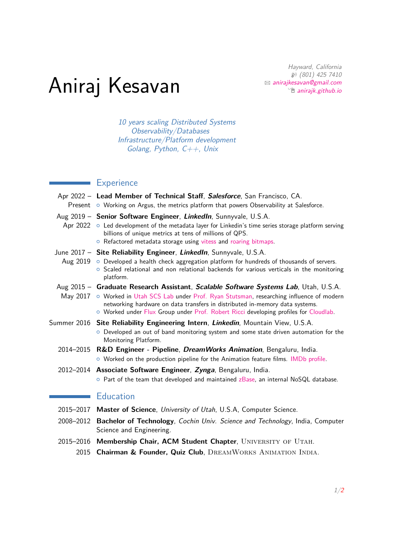Hayward, California H (801) 425 7410  $\boxtimes$  [anirajkesavan@gmail.com](mailto:anirajkesavan@gmail.com)  $\hat{p}$  [anirajk.github.io](http://anirajk.github.io)

## Aniraj Kesavan

10 years scaling Distributed Systems Observability/Databases Infrastructure/Platform development Golang, Python,  $C++$ , Unix

## **Experience**

| Apr 2022 - Lead Member of Technical Staff, Salesforce, San Francisco, CA.<br>Present $\circ$ Working on Argus, the metrics platform that powers Observability at Salesforce.                                                                                                                                                                                |
|-------------------------------------------------------------------------------------------------------------------------------------------------------------------------------------------------------------------------------------------------------------------------------------------------------------------------------------------------------------|
| Aug 2019 - Senior Software Engineer, LinkedIn, Sunnyvale, U.S.A.<br>Apr $2022 \circ$ Led development of the metadata layer for Linkedin's time series storage platform serving<br>billions of unique metrics at tens of millions of QPS.<br>o Refactored metadata storage using vitess and roaring bitmaps.                                                 |
| June 2017 - Site Reliability Engineer, LinkedIn, Sunnyvale, U.S.A.<br>Aug $2019$ $\circ$ Developed a health check aggregation platform for hundreds of thousands of servers.<br>o Scaled relational and non relational backends for various verticals in the monitoring<br>platform.                                                                        |
| Aug 2015 - Graduate Research Assistant, Scalable Software Systems Lab, Utah, U.S.A.<br>May 2017 o Worked in Utah SCS Lab under Prof. Ryan Stutsman, researching influence of modern<br>networking hardware on data transfers in distributed in-memory data systems.<br>O Worked under Flux Group under Prof. Robert Ricci developing profiles for Cloudlab. |
| Summer 2016 Site Reliability Engineering Intern, Linkedin, Mountain View, U.S.A.<br>O Developed an out of band monitoring system and some state driven automation for the<br>Monitoring Platform.                                                                                                                                                           |
| 2014–2015 R&D Engineer - Pipeline, <i>DreamWorks Animation</i> , Bengaluru, India.<br>O Worked on the production pipeline for the Animation feature films. IMDb profile.                                                                                                                                                                                    |
| 2012–2014 Associate Software Engineer, Zynga, Bengaluru, India.<br>$\circ$ Part of the team that developed and maintained zBase, an internal NoSQL database.                                                                                                                                                                                                |
| <b>Education</b>                                                                                                                                                                                                                                                                                                                                            |
| 2015-2017 Master of Science, University of Utah, U.S.A, Computer Science.                                                                                                                                                                                                                                                                                   |
| 2008-2012 Bachelor of Technology, Cochin Univ. Science and Technology, India, Computer                                                                                                                                                                                                                                                                      |

- <span id="page-0-0"></span>Science and Engineering. 2015–2016 Membership Chair, ACM Student Chapter, UNIVERSITY OF UTAH.
	- 2015 Chairman & Founder, Quiz Club, DREAMWORKS ANIMATION INDIA.